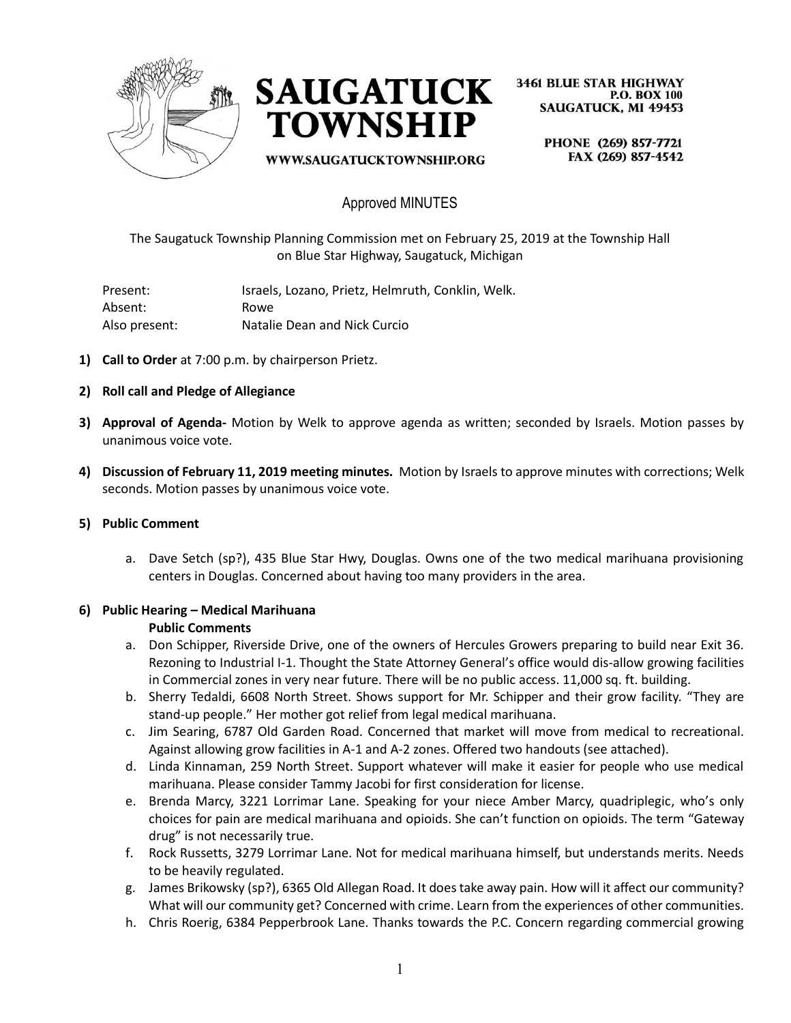



**3461 BLUE STAR HIGHWAY P.O. BOX 100 SAUGATUCK, MI 49453** 

WWW.SAUGATUCKTOWNSHIP.ORG

PHONE (269) 857-7721 FAX (269) 857-4542

## Approved MINUTES

The Saugatuck Township Planning Commission met on February 25, 2019 at the Township Hall on Blue Star Highway, Saugatuck, Michigan

Present: Israels, Lozano, Prietz, Helmruth, Conklin, Welk. Absent: Rowe Also present: Natalie Dean and Nick Curcio

- **1) Call to Order** at 7:00 p.m. by chairperson Prietz.
- **2) Roll call and Pledge of Allegiance**
- **3) Approval of Agenda-** Motion by Welk to approve agenda as written; seconded by Israels. Motion passes by unanimous voice vote.
- **4) Discussion of February 11, 2019 meeting minutes.** Motion by Israels to approve minutes with corrections; Welk seconds. Motion passes by unanimous voice vote.

#### **5) Public Comment**

a. Dave Setch (sp?), 435 Blue Star Hwy, Douglas. Owns one of the two medical marihuana provisioning centers in Douglas. Concerned about having too many providers in the area.

# **6) Public Hearing – Medical Marihuana**

#### **Public Comments**

- a. Don Schipper, Riverside Drive, one of the owners of Hercules Growers preparing to build near Exit 36. Rezoning to Industrial I-1. Thought the State Attorney General's office would dis-allow growing facilities in Commercial zones in very near future. There will be no public access. 11,000 sq. ft. building.
- b. Sherry Tedaldi, 6608 North Street. Shows support for Mr. Schipper and their grow facility. "They are stand-up people." Her mother got relief from legal medical marihuana.
- c. Jim Searing, 6787 Old Garden Road. Concerned that market will move from medical to recreational. Against allowing grow facilities in A-1 and A-2 zones. Offered two handouts (see attached).
- d. Linda Kinnaman, 259 North Street. Support whatever will make it easier for people who use medical marihuana. Please consider Tammy Jacobi for first consideration for license.
- e. Brenda Marcy, 3221 Lorrimar Lane. Speaking for your niece Amber Marcy, quadriplegic, who's only choices for pain are medical marihuana and opioids. She can't function on opioids. The term "Gateway drug" is not necessarily true.
- f. Rock Russetts, 3279 Lorrimar Lane. Not for medical marihuana himself, but understands merits. Needs to be heavily regulated.
- g. James Brikowsky (sp?), 6365 Old Allegan Road. It does take away pain. How will it affect our community? What will our community get? Concerned with crime. Learn from the experiences of other communities.
- h. Chris Roerig, 6384 Pepperbrook Lane. Thanks towards the P.C. Concern regarding commercial growing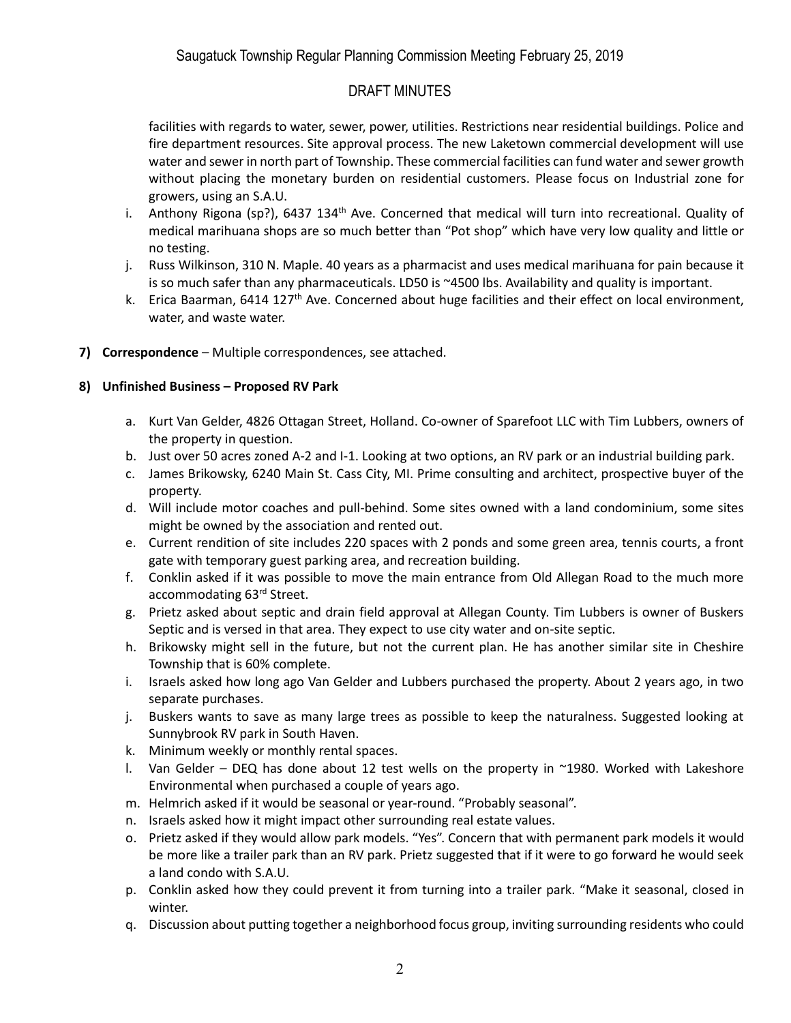# DRAFT MINUTES

facilities with regards to water, sewer, power, utilities. Restrictions near residential buildings. Police and fire department resources. Site approval process. The new Laketown commercial development will use water and sewer in north part of Township. These commercial facilities can fund water and sewer growth without placing the monetary burden on residential customers. Please focus on Industrial zone for growers, using an S.A.U.

- i. Anthony Rigona (sp?), 6437 134<sup>th</sup> Ave. Concerned that medical will turn into recreational. Quality of medical marihuana shops are so much better than "Pot shop" which have very low quality and little or no testing.
- j. Russ Wilkinson, 310 N. Maple. 40 years as a pharmacist and uses medical marihuana for pain because it is so much safer than any pharmaceuticals. LD50 is ~4500 lbs. Availability and quality is important.
- k. Erica Baarman, 6414 127<sup>th</sup> Ave. Concerned about huge facilities and their effect on local environment, water, and waste water.
- **7) Correspondence** Multiple correspondences, see attached.

## **8) Unfinished Business – Proposed RV Park**

- a. Kurt Van Gelder, 4826 Ottagan Street, Holland. Co-owner of Sparefoot LLC with Tim Lubbers, owners of the property in question.
- b. Just over 50 acres zoned A-2 and I-1. Looking at two options, an RV park or an industrial building park.
- c. James Brikowsky, 6240 Main St. Cass City, MI. Prime consulting and architect, prospective buyer of the property.
- d. Will include motor coaches and pull-behind. Some sites owned with a land condominium, some sites might be owned by the association and rented out.
- e. Current rendition of site includes 220 spaces with 2 ponds and some green area, tennis courts, a front gate with temporary guest parking area, and recreation building.
- f. Conklin asked if it was possible to move the main entrance from Old Allegan Road to the much more accommodating 63rd Street.
- g. Prietz asked about septic and drain field approval at Allegan County. Tim Lubbers is owner of Buskers Septic and is versed in that area. They expect to use city water and on-site septic.
- h. Brikowsky might sell in the future, but not the current plan. He has another similar site in Cheshire Township that is 60% complete.
- i. Israels asked how long ago Van Gelder and Lubbers purchased the property. About 2 years ago, in two separate purchases.
- j. Buskers wants to save as many large trees as possible to keep the naturalness. Suggested looking at Sunnybrook RV park in South Haven.
- k. Minimum weekly or monthly rental spaces.
- l. Van Gelder DEQ has done about 12 test wells on the property in ~1980. Worked with Lakeshore Environmental when purchased a couple of years ago.
- m. Helmrich asked if it would be seasonal or year-round. "Probably seasonal".
- n. Israels asked how it might impact other surrounding real estate values.
- o. Prietz asked if they would allow park models. "Yes". Concern that with permanent park models it would be more like a trailer park than an RV park. Prietz suggested that if it were to go forward he would seek a land condo with S.A.U.
- p. Conklin asked how they could prevent it from turning into a trailer park. "Make it seasonal, closed in winter.
- q. Discussion about putting together a neighborhood focus group, inviting surrounding residents who could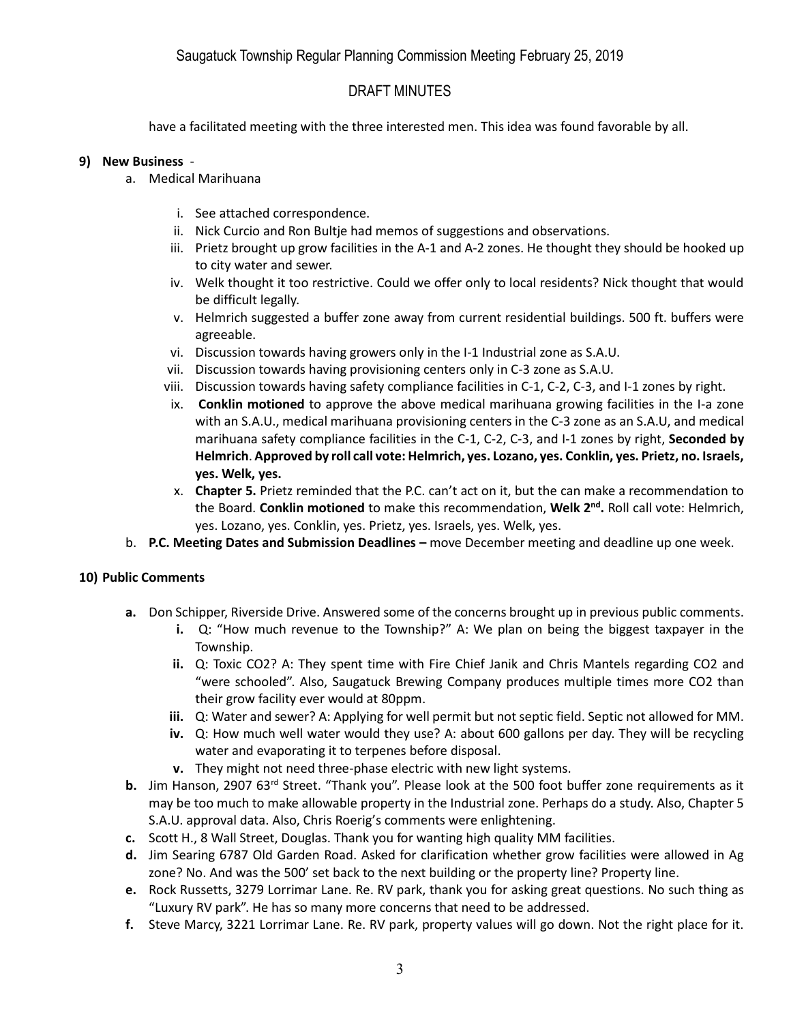## DRAFT MINUTES

have a facilitated meeting with the three interested men. This idea was found favorable by all.

### **9) New Business** -

- a. Medical Marihuana
	- i. See attached correspondence.
	- ii. Nick Curcio and Ron Bultje had memos of suggestions and observations.
	- iii. Prietz brought up grow facilities in the A-1 and A-2 zones. He thought they should be hooked up to city water and sewer.
	- iv. Welk thought it too restrictive. Could we offer only to local residents? Nick thought that would be difficult legally.
	- v. Helmrich suggested a buffer zone away from current residential buildings. 500 ft. buffers were agreeable.
	- vi. Discussion towards having growers only in the I-1 Industrial zone as S.A.U.
	- vii. Discussion towards having provisioning centers only in C-3 zone as S.A.U.
	- viii. Discussion towards having safety compliance facilities in C-1, C-2, C-3, and I-1 zones by right.
	- ix. **Conklin motioned** to approve the above medical marihuana growing facilities in the I-a zone with an S.A.U., medical marihuana provisioning centers in the C-3 zone as an S.A.U, and medical marihuana safety compliance facilities in the C-1, C-2, C-3, and I-1 zones by right, **Seconded by Helmrich**. **Approved by roll call vote: Helmrich, yes. Lozano, yes. Conklin, yes. Prietz, no. Israels, yes. Welk, yes.**
	- x. **Chapter 5.** Prietz reminded that the P.C. can't act on it, but the can make a recommendation to the Board. **Conklin motioned** to make this recommendation, **Welk 2nd .** Roll call vote: Helmrich, yes. Lozano, yes. Conklin, yes. Prietz, yes. Israels, yes. Welk, yes.
- b. **P.C. Meeting Dates and Submission Deadlines –** move December meeting and deadline up one week.

### **10) Public Comments**

- **a.** Don Schipper, Riverside Drive. Answered some of the concerns brought up in previous public comments.
	- **i.** Q: "How much revenue to the Township?" A: We plan on being the biggest taxpayer in the Township.
	- **ii.** Q: Toxic CO2? A: They spent time with Fire Chief Janik and Chris Mantels regarding CO2 and "were schooled". Also, Saugatuck Brewing Company produces multiple times more CO2 than their grow facility ever would at 80ppm.
	- **iii.** Q: Water and sewer? A: Applying for well permit but not septic field. Septic not allowed for MM.
	- **iv.** Q: How much well water would they use? A: about 600 gallons per day. They will be recycling water and evaporating it to terpenes before disposal.
	- **v.** They might not need three-phase electric with new light systems.
- **b.** Jim Hanson, 2907 63<sup>rd</sup> Street. "Thank you". Please look at the 500 foot buffer zone requirements as it may be too much to make allowable property in the Industrial zone. Perhaps do a study. Also, Chapter 5 S.A.U. approval data. Also, Chris Roerig's comments were enlightening.
- **c.** Scott H., 8 Wall Street, Douglas. Thank you for wanting high quality MM facilities.
- **d.** Jim Searing 6787 Old Garden Road. Asked for clarification whether grow facilities were allowed in Ag zone? No. And was the 500' set back to the next building or the property line? Property line.
- **e.** Rock Russetts, 3279 Lorrimar Lane. Re. RV park, thank you for asking great questions. No such thing as "Luxury RV park". He has so many more concerns that need to be addressed.
- **f.** Steve Marcy, 3221 Lorrimar Lane. Re. RV park, property values will go down. Not the right place for it.